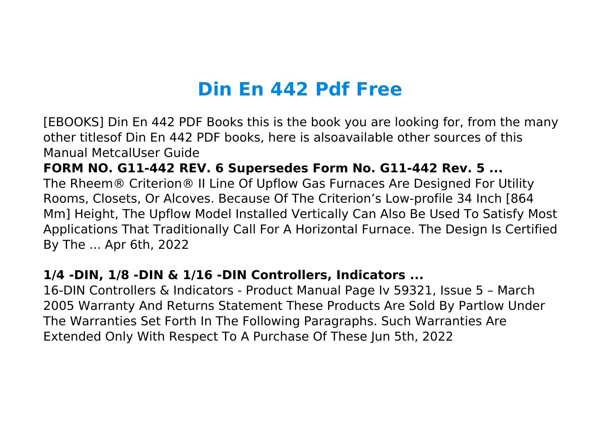# **Din En 442 Pdf Free**

[EBOOKS] Din En 442 PDF Books this is the book you are looking for, from the many other titlesof Din En 442 PDF books, here is alsoavailable other sources of this Manual MetcalUser Guide

**FORM NO. G11-442 REV. 6 Supersedes Form No. G11-442 Rev. 5 ...** The Rheem® Criterion® II Line Of Upflow Gas Furnaces Are Designed For Utility Rooms, Closets, Or Alcoves. Because Of The Criterion's Low-profile 34 Inch [864 Mm] Height, The Upflow Model Installed Vertically Can Also Be Used To Satisfy Most Applications That Traditionally Call For A Horizontal Furnace. The Design Is Certified By The ... Apr 6th, 2022

# **1/4 -DIN, 1/8 -DIN & 1/16 -DIN Controllers, Indicators ...**

16-DIN Controllers & Indicators - Product Manual Page Iv 59321, Issue 5 – March 2005 Warranty And Returns Statement These Products Are Sold By Partlow Under The Warranties Set Forth In The Following Paragraphs. Such Warranties Are Extended Only With Respect To A Purchase Of These Jun 5th, 2022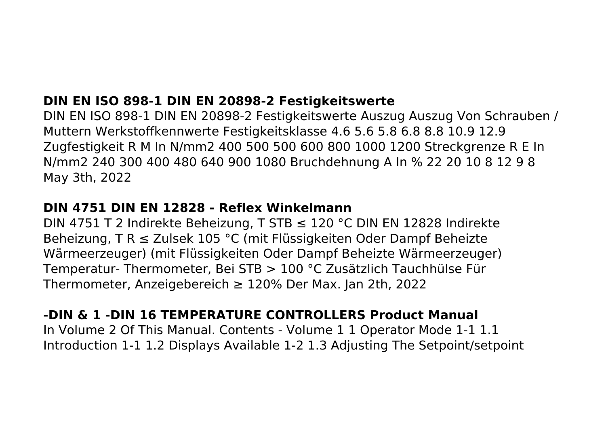# **DIN EN ISO 898-1 DIN EN 20898-2 Festigkeitswerte**

DIN EN ISO 898-1 DIN EN 20898-2 Festigkeitswerte Auszug Auszug Von Schrauben / Muttern Werkstoffkennwerte Festigkeitsklasse 4.6 5.6 5.8 6.8 8.8 10.9 12.9 Zugfestigkeit R M In N/mm2 400 500 500 600 800 1000 1200 Streckgrenze R E In N/mm2 240 300 400 480 640 900 1080 Bruchdehnung A In % 22 20 10 8 12 9 8 May 3th, 2022

#### **DIN 4751 DIN EN 12828 - Reflex Winkelmann**

DIN 4751 T 2 Indirekte Beheizung, T STB ≤ 120 °C DIN EN 12828 Indirekte Beheizung, T R ≤ Zulsek 105 °C (mit Flüssigkeiten Oder Dampf Beheizte Wärmeerzeuger) (mit Flüssigkeiten Oder Dampf Beheizte Wärmeerzeuger) Temperatur- Thermometer, Bei STB > 100 °C Zusätzlich Tauchhülse Für Thermometer, Anzeigebereich ≥ 120% Der Max. Jan 2th, 2022

# **-DIN & 1 -DIN 16 TEMPERATURE CONTROLLERS Product Manual**

In Volume 2 Of This Manual. Contents - Volume 1 1 Operator Mode 1-1 1.1 Introduction 1-1 1.2 Displays Available 1-2 1.3 Adjusting The Setpoint/setpoint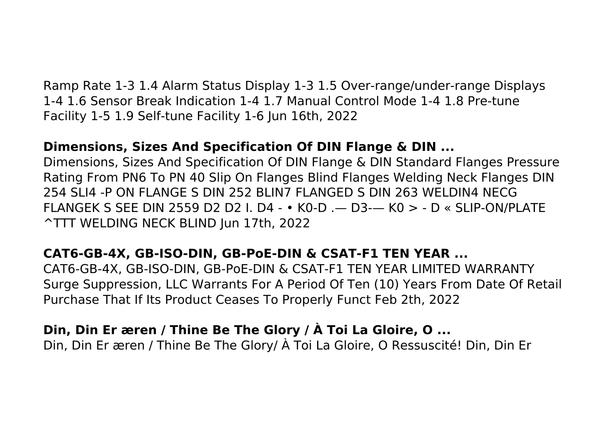Ramp Rate 1-3 1.4 Alarm Status Display 1-3 1.5 Over-range/under-range Displays 1-4 1.6 Sensor Break Indication 1-4 1.7 Manual Control Mode 1-4 1.8 Pre-tune Facility 1-5 1.9 Self-tune Facility 1-6 Jun 16th, 2022

# **Dimensions, Sizes And Specification Of DIN Flange & DIN ...**

Dimensions, Sizes And Specification Of DIN Flange & DIN Standard Flanges Pressure Rating From PN6 To PN 40 Slip On Flanges Blind Flanges Welding Neck Flanges DIN 254 SLI4 -P ON FLANGE S DIN 252 BLIN7 FLANGED S DIN 263 WELDIN4 NECG FLANGEK S SEE DIN 2559 D2 D2 I. D4 - • K0-D .— D3-— K0 > - D « SLIP-ON/PLATE ^TTT WELDING NECK BLIND Jun 17th, 2022

# **CAT6-GB-4X, GB-ISO-DIN, GB-PoE-DIN & CSAT-F1 TEN YEAR ...**

CAT6-GB-4X, GB-ISO-DIN, GB-PoE-DIN & CSAT-F1 TEN YEAR LIMITED WARRANTY Surge Suppression, LLC Warrants For A Period Of Ten (10) Years From Date Of Retail Purchase That If Its Product Ceases To Properly Funct Feb 2th, 2022

# **Din, Din Er æren / Thine Be The Glory / À Toi La Gloire, O ...**

Din, Din Er æren / Thine Be The Glory/ À Toi La Gloire, O Ressuscité! Din, Din Er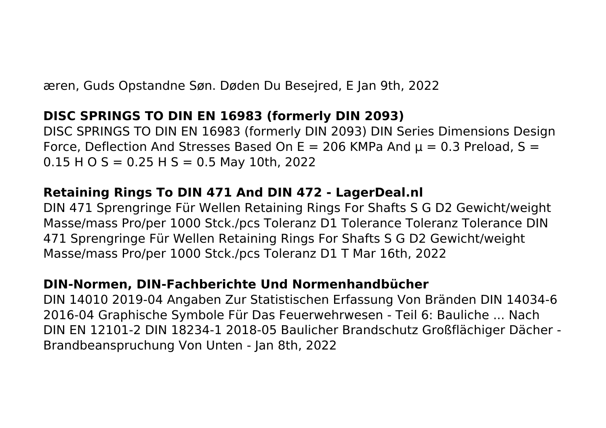æren, Guds Opstandne Søn. Døden Du Besejred, E Jan 9th, 2022

## **DISC SPRINGS TO DIN EN 16983 (formerly DIN 2093)**

DISC SPRINGS TO DIN EN 16983 (formerly DIN 2093) DIN Series Dimensions Design Force, Deflection And Stresses Based On E = 206 KMPa And  $\mu$  = 0.3 Preload, S =  $0.15$  H O S = 0.25 H S = 0.5 May 10th, 2022

## **Retaining Rings To DIN 471 And DIN 472 - LagerDeal.nl**

DIN 471 Sprengringe Für Wellen Retaining Rings For Shafts S G D2 Gewicht/weight Masse/mass Pro/per 1000 Stck./pcs Toleranz D1 Tolerance Toleranz Tolerance DIN 471 Sprengringe Für Wellen Retaining Rings For Shafts S G D2 Gewicht/weight Masse/mass Pro/per 1000 Stck./pcs Toleranz D1 T Mar 16th, 2022

# **DIN-Normen, DIN-Fachberichte Und Normenhandbücher**

DIN 14010 2019-04 Angaben Zur Statistischen Erfassung Von Bränden DIN 14034-6 2016-04 Graphische Symbole Für Das Feuerwehrwesen - Teil 6: Bauliche ... Nach DIN EN 12101-2 DIN 18234-1 2018-05 Baulicher Brandschutz Großflächiger Dächer - Brandbeanspruchung Von Unten - Jan 8th, 2022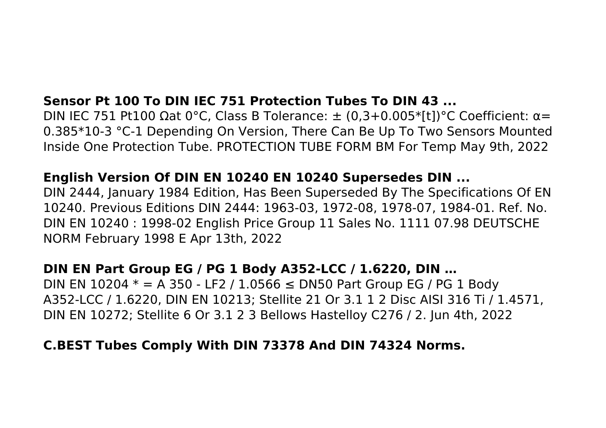# **Sensor Pt 100 To DIN IEC 751 Protection Tubes To DIN 43 ...**

DIN IEC 751 Pt100 Ωat 0°C, Class B Tolerance:  $\pm$  (0,3+0.005\*[t])°C Coefficient: α= 0.385\*10-3 °C-1 Depending On Version, There Can Be Up To Two Sensors Mounted Inside One Protection Tube. PROTECTION TUBE FORM BM For Temp May 9th, 2022

#### **English Version Of DIN EN 10240 EN 10240 Supersedes DIN ...**

DIN 2444, January 1984 Edition, Has Been Superseded By The Specifications Of EN 10240. Previous Editions DIN 2444: 1963-03, 1972-08, 1978-07, 1984-01. Ref. No. DIN EN 10240 : 1998-02 English Price Group 11 Sales No. 1111 07.98 DEUTSCHE NORM February 1998 E Apr 13th, 2022

#### **DIN EN Part Group EG / PG 1 Body A352-LCC / 1.6220, DIN …**

DIN EN 10204  $*$  = A 350 - LF2 / 1.0566 ≤ DN50 Part Group EG / PG 1 Body A352-LCC / 1.6220, DIN EN 10213; Stellite 21 Or 3.1 1 2 Disc AISI 316 Ti / 1.4571, DIN EN 10272; Stellite 6 Or 3.1 2 3 Bellows Hastelloy C276 / 2. Jun 4th, 2022

#### **C.BEST Tubes Comply With DIN 73378 And DIN 74324 Norms.**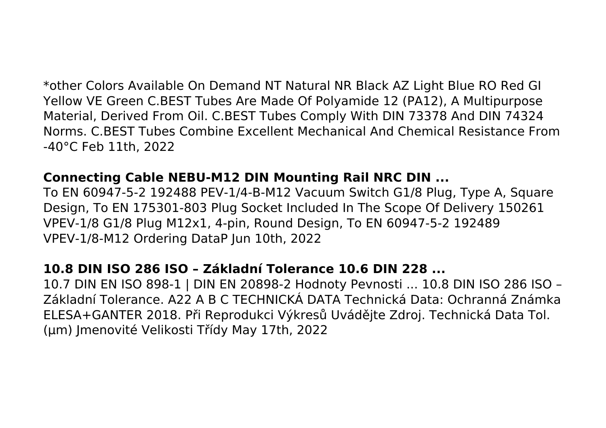\*other Colors Available On Demand NT Natural NR Black AZ Light Blue RO Red GI Yellow VE Green C.BEST Tubes Are Made Of Polyamide 12 (PA12), A Multipurpose Material, Derived From Oil. C.BEST Tubes Comply With DIN 73378 And DIN 74324 Norms. C.BEST Tubes Combine Excellent Mechanical And Chemical Resistance From -40°C Feb 11th, 2022

## **Connecting Cable NEBU-M12 DIN Mounting Rail NRC DIN ...**

To EN 60947-5-2 192488 PEV-1/4-B-M12 Vacuum Switch G1/8 Plug, Type A, Square Design, To EN 175301-803 Plug Socket Included In The Scope Of Delivery 150261 VPEV-1/8 G1/8 Plug M12x1, 4-pin, Round Design, To EN 60947-5-2 192489 VPEV-1/8-M12 Ordering DataP Jun 10th, 2022

## **10.8 DIN ISO 286 ISO – Základní Tolerance 10.6 DIN 228 ...**

10.7 DIN EN ISO 898-1 | DIN EN 20898-2 Hodnoty Pevnosti ... 10.8 DIN ISO 286 ISO – Základní Tolerance. A22 A B C TECHNICKÁ DATA Technická Data: Ochranná Známka ELESA+GANTER 2018. Při Reprodukci Výkresů Uvádějte Zdroj. Technická Data Tol. (μm) Jmenovité Velikosti Třídy May 17th, 2022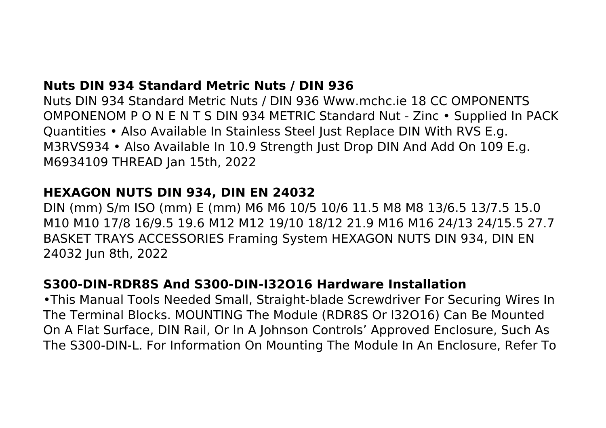## **Nuts DIN 934 Standard Metric Nuts / DIN 936**

Nuts DIN 934 Standard Metric Nuts / DIN 936 Www.mchc.ie 18 CC OMPONENTS OMPONENOM P O N E N T S DIN 934 METRIC Standard Nut - Zinc • Supplied In PACK Quantities • Also Available In Stainless Steel Just Replace DIN With RVS E.g. M3RVS934 • Also Available In 10.9 Strength Just Drop DIN And Add On 109 E.g. M6934109 THREAD Jan 15th, 2022

#### **HEXAGON NUTS DIN 934, DIN EN 24032**

DIN (mm) S/m ISO (mm) E (mm) M6 M6 10/5 10/6 11.5 M8 M8 13/6.5 13/7.5 15.0 M10 M10 17/8 16/9.5 19.6 M12 M12 19/10 18/12 21.9 M16 M16 24/13 24/15.5 27.7 BASKET TRAYS ACCESSORIES Framing System HEXAGON NUTS DIN 934, DIN EN 24032 Jun 8th, 2022

## **S300-DIN-RDR8S And S300-DIN-I32O16 Hardware Installation**

•This Manual Tools Needed Small, Straight-blade Screwdriver For Securing Wires In The Terminal Blocks. MOUNTING The Module (RDR8S Or I32O16) Can Be Mounted On A Flat Surface, DIN Rail, Or In A Johnson Controls' Approved Enclosure, Such As The S300-DIN-L. For Information On Mounting The Module In An Enclosure, Refer To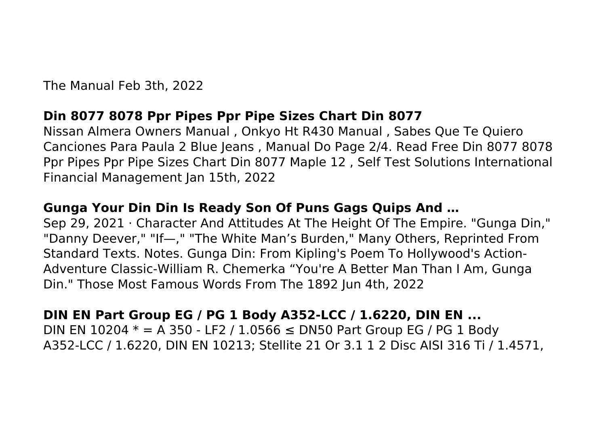The Manual Feb 3th, 2022

#### **Din 8077 8078 Ppr Pipes Ppr Pipe Sizes Chart Din 8077**

Nissan Almera Owners Manual , Onkyo Ht R430 Manual , Sabes Que Te Quiero Canciones Para Paula 2 Blue Jeans , Manual Do Page 2/4. Read Free Din 8077 8078 Ppr Pipes Ppr Pipe Sizes Chart Din 8077 Maple 12 , Self Test Solutions International Financial Management Jan 15th, 2022

# **Gunga Your Din Din Is Ready Son Of Puns Gags Quips And …**

Sep 29, 2021 · Character And Attitudes At The Height Of The Empire. "Gunga Din," "Danny Deever," "If—," "The White Man's Burden," Many Others, Reprinted From Standard Texts. Notes. Gunga Din: From Kipling's Poem To Hollywood's Action-Adventure Classic-William R. Chemerka "You're A Better Man Than I Am, Gunga Din." Those Most Famous Words From The 1892 Jun 4th, 2022

# **DIN EN Part Group EG / PG 1 Body A352-LCC / 1.6220, DIN EN ...**

DIN EN 10204  $*$  = A 350 - LF2 / 1.0566 ≤ DN50 Part Group EG / PG 1 Body A352-LCC / 1.6220, DIN EN 10213; Stellite 21 Or 3.1 1 2 Disc AISI 316 Ti / 1.4571,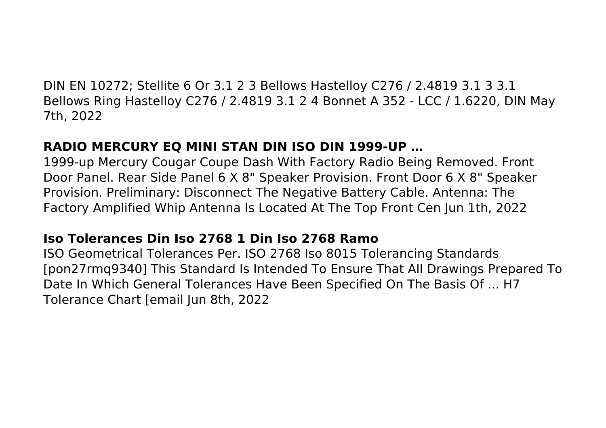DIN EN 10272; Stellite 6 Or 3.1 2 3 Bellows Hastelloy C276 / 2.4819 3.1 3 3.1 Bellows Ring Hastelloy C276 / 2.4819 3.1 2 4 Bonnet A 352 - LCC / 1.6220, DIN May 7th, 2022

# **RADIO MERCURY EQ MINI STAN DIN ISO DIN 1999-UP …**

1999-up Mercury Cougar Coupe Dash With Factory Radio Being Removed. Front Door Panel. Rear Side Panel 6 X 8" Speaker Provision. Front Door 6 X 8" Speaker Provision. Preliminary: Disconnect The Negative Battery Cable. Antenna: The Factory Amplified Whip Antenna Is Located At The Top Front Cen Jun 1th, 2022

# **Iso Tolerances Din Iso 2768 1 Din Iso 2768 Ramo**

ISO Geometrical Tolerances Per. ISO 2768 Iso 8015 Tolerancing Standards [pon27rmq9340] This Standard Is Intended To Ensure That All Drawings Prepared To Date In Which General Tolerances Have Been Specified On The Basis Of ... H7 Tolerance Chart [email Jun 8th, 2022